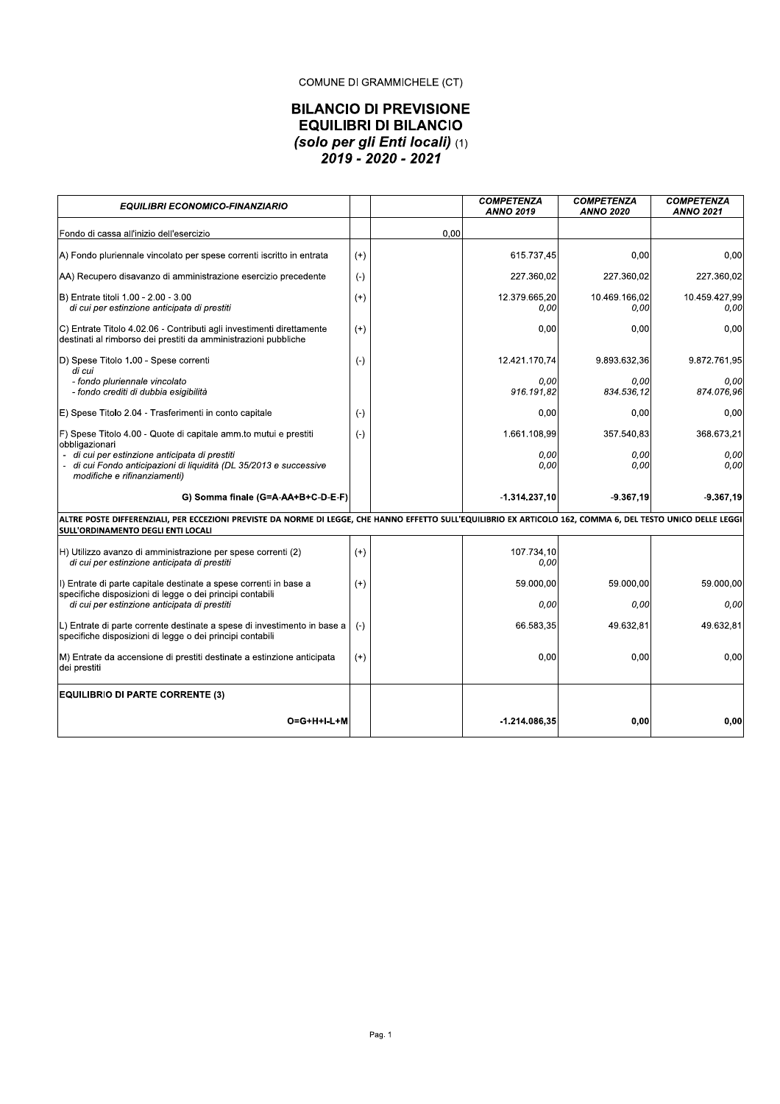### COMUNE DI GRAMMICHELE (CT)

# **BILANCIO DI PREVISIONE EQUILIBRI DI BILANCIO** (solo per gli Enti locali) (1)<br>2019 - 2020 - 2021

| <b>EQUILIBRI ECONOMICO-FINANZIARIO</b>                                                                                                                                                                    |          |      | <b>COMPETENZA</b><br><b>ANNO 2019</b> | <b>COMPETENZA</b><br><b>ANNO 2020</b> | <b>COMPETENZA</b><br><b>ANNO 2021</b> |
|-----------------------------------------------------------------------------------------------------------------------------------------------------------------------------------------------------------|----------|------|---------------------------------------|---------------------------------------|---------------------------------------|
| Fondo di cassa all'inizio dell'esercizio                                                                                                                                                                  |          | 0.00 |                                       |                                       |                                       |
| A) Fondo pluriennale vincolato per spese correnti iscritto in entrata                                                                                                                                     | $(+)$    |      | 615.737,45                            | 0.00                                  | 0.00                                  |
| AA) Recupero disavanzo di amministrazione esercizio precedente                                                                                                                                            | $(-)$    |      | 227.360,02                            | 227.360.02                            | 227.360.02                            |
| B) Entrate titoli 1.00 - 2.00 - 3.00<br>di cui per estinzione anticipata di prestiti                                                                                                                      | $(+)$    |      | 12.379.665.20<br>0,00                 | 10.469.166,02<br>0,00                 | 10.459.427,99<br>0,00                 |
| C) Entrate Titolo 4.02.06 - Contributi agli investimenti direttamente<br>destinati al rimborso dei prestiti da amministrazioni pubbliche                                                                  | $(+)$    |      | 0,00                                  | 0.00                                  | 0,00                                  |
| D) Spese Titolo 1.00 - Spese correnti<br>di cui                                                                                                                                                           | $(-)$    |      | 12.421.170,74                         | 9.893.632,36                          | 9.872.761,95                          |
| - fondo pluriennale vincolato<br>- fondo crediti di dubbia esigibilità                                                                                                                                    |          |      | 0.00<br>916.191,82                    | 0.00<br>834.536,12                    | 0.00<br>874.076,96                    |
| E) Spese Titolo 2.04 - Trasferimenti in conto capitale                                                                                                                                                    | $(-)$    |      | 0.00                                  | 0,00                                  | 0,00                                  |
| F) Spese Titolo 4.00 - Quote di capitale amm.to mutui e prestiti<br>obbligazionari                                                                                                                        | $(-)$    |      | 1.661.108,99                          | 357.540,83                            | 368.673,21                            |
| - di cui per estinzione anticipata di prestiti<br>- di cui Fondo anticipazioni di liquidità (DL 35/2013 e successive<br>modifiche e rifinanziamenti)                                                      |          |      | 0,00<br>0,00                          | 0.00<br>0,00                          | 0.00<br>0,00                          |
| G) Somma finale (G=A-AA+B+C-D-E-F)                                                                                                                                                                        |          |      | $-1.314.237,10$                       | -9.367.19                             | $-9.367.19$                           |
| ALTRE POSTE DIFFERENZIALI, PER ECCEZIONI PREVISTE DA NORME DI LEGGE, CHE HANNO EFFETTO SULL'EQUILIBRIO EX ARTICOLO 162, COMMA 6, DEL TESTO UNICO DELLE LEGGI<br><b>SULL'ORDINAMENTO DEGLI ENTI LOCALI</b> |          |      |                                       |                                       |                                       |
| H) Utilizzo avanzo di amministrazione per spese correnti (2)<br>di cui per estinzione anticipata di prestiti                                                                                              | $(+)$    |      | 107.734,10<br>0,00                    |                                       |                                       |
| I) Entrate di parte capitale destinate a spese correnti in base a<br>specifiche disposizioni di legge o dei principi contabili                                                                            | $(+)$    |      | 59.000.00                             | 59.000.00                             | 59.000,00                             |
| di cui per estinzione anticipata di prestiti                                                                                                                                                              |          |      | 0,00                                  | 0.00                                  | 0,00                                  |
| L) Entrate di parte corrente destinate a spese di investimento in base a<br>specifiche disposizioni di legge o dei principi contabili                                                                     | $(-)$    |      | 66.583,35                             | 49.632.81                             | 49.632.81                             |
| M) Entrate da accensione di prestiti destinate a estinzione anticipata<br>dei prestiti                                                                                                                    | $^{(+)}$ |      | 0,00                                  | 0,00                                  | 0,00                                  |
| <b>EQUILIBRIO DI PARTE CORRENTE (3)</b>                                                                                                                                                                   |          |      |                                       |                                       |                                       |
| O=G+H+I-L+M                                                                                                                                                                                               |          |      | $-1.214.086,35$                       | 0,00                                  | 0.00                                  |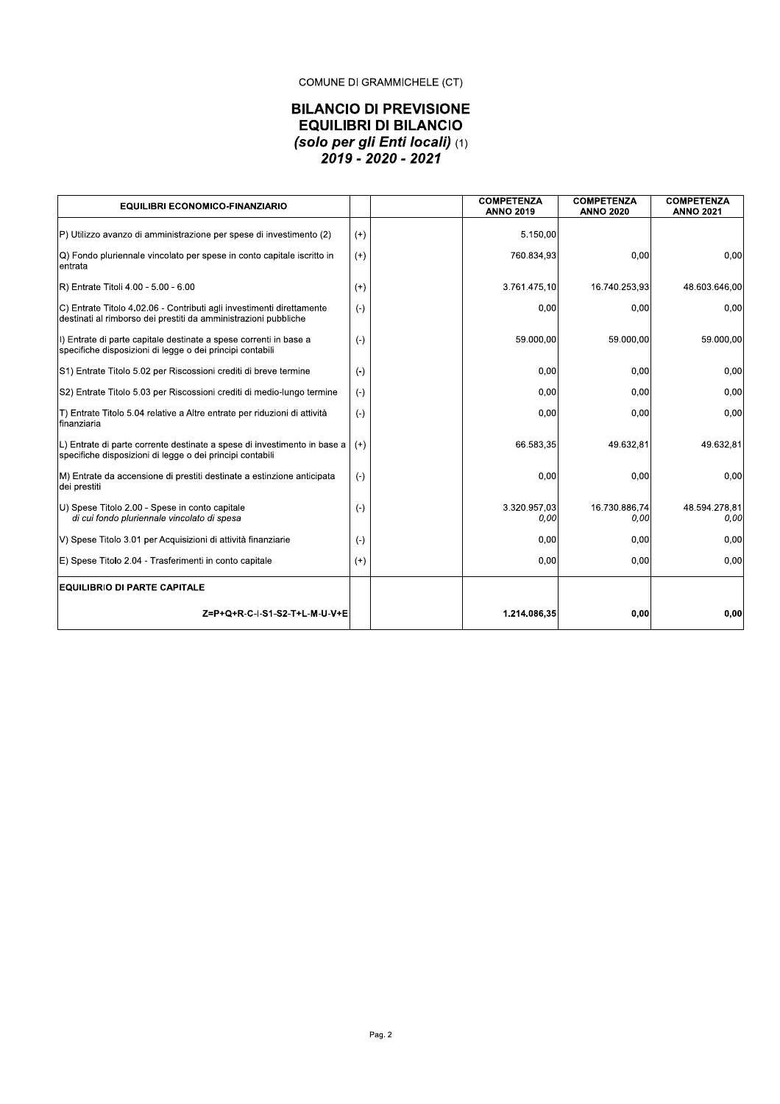### COMUNE DI GRAMMICHELE (CT)

# **BILANCIO DI PREVISIONE EQUILIBRI DI BILANCIO** (solo per gli Enti locali) (1)<br>2019 - 2020 - 2021

| <b>EQUILIBRI ECONOMICO-FINANZIARIO</b>                                                                                                   |          | <b>COMPETENZA</b><br><b>ANNO 2019</b> |                      | <b>COMPETENZA</b><br><b>ANNO 2020</b> | <b>COMPETENZA</b><br><b>ANNO 2021</b> |
|------------------------------------------------------------------------------------------------------------------------------------------|----------|---------------------------------------|----------------------|---------------------------------------|---------------------------------------|
| P) Utilizzo avanzo di amministrazione per spese di investimento (2)                                                                      | $(+)$    |                                       | 5.150,00             |                                       |                                       |
| Q) Fondo pluriennale vincolato per spese in conto capitale iscritto in<br>entrata                                                        | $(+)$    |                                       | 760.834,93           | 0,00                                  | 0.00                                  |
| R) Entrate Titoli 4.00 - 5.00 - 6.00                                                                                                     | $(+)$    |                                       | 3.761.475,10         | 16.740.253,93                         | 48.603.646,00                         |
| C) Entrate Titolo 4.02.06 - Contributi agli investimenti direttamente<br>destinati al rimborso dei prestiti da amministrazioni pubbliche | $(-)$    |                                       | 0,00                 | 0,00                                  | 0.00                                  |
| I) Entrate di parte capitale destinate a spese correnti in base a<br>specifiche disposizioni di legge o dei principi contabili           | $(-)$    |                                       | 59.000,00            | 59.000,00                             | 59.000,00                             |
| S1) Entrate Titolo 5.02 per Riscossioni crediti di breve termine                                                                         | $(-)$    |                                       | 0,00                 | 0,00                                  | 0,00                                  |
| S2) Entrate Titolo 5.03 per Riscossioni crediti di medio-lungo termine                                                                   | $(-)$    |                                       | 0,00                 | 0,00                                  | 0,00                                  |
| T) Entrate Titolo 5.04 relative a Altre entrate per riduzioni di attività<br>Ifinanziaria                                                | $(-)$    |                                       | 0.00                 | 0.00                                  | 0.00                                  |
| L) Entrate di parte corrente destinate a spese di investimento in base a<br>specifiche disposizioni di legge o dei principi contabili    | $(+)$    |                                       | 66.583,35            | 49.632.81                             | 49.632,81                             |
| M) Entrate da accensione di prestiti destinate a estinzione anticipata<br>dei prestiti                                                   | $(-)$    |                                       | 0,00                 | 0,00                                  | 0.00                                  |
| U) Spese Titolo 2.00 - Spese in conto capitale<br>di cui fondo pluriennale vincolato di spesa                                            | $(-)$    |                                       | 3.320.957,03<br>0,00 | 16.730.886,74<br>0,00                 | 48.594.278,81<br>0.00                 |
| V) Spese Titolo 3.01 per Acquisizioni di attività finanziarie                                                                            | $(-)$    |                                       | 0,00                 | 0.00                                  | 0,00                                  |
| E) Spese Titolo 2.04 - Trasferimenti in conto capitale                                                                                   | $^{(+)}$ |                                       | 0.00                 | 0.00                                  | 0.00                                  |
| <b>EQUILIBRIO DI PARTE CAPITALE</b>                                                                                                      |          |                                       |                      |                                       |                                       |
| Z=P+Q+R-C-I-S1-S2-T+L-M-U-V+E                                                                                                            |          |                                       | 1.214.086,35         | 0,00                                  | 0,00                                  |